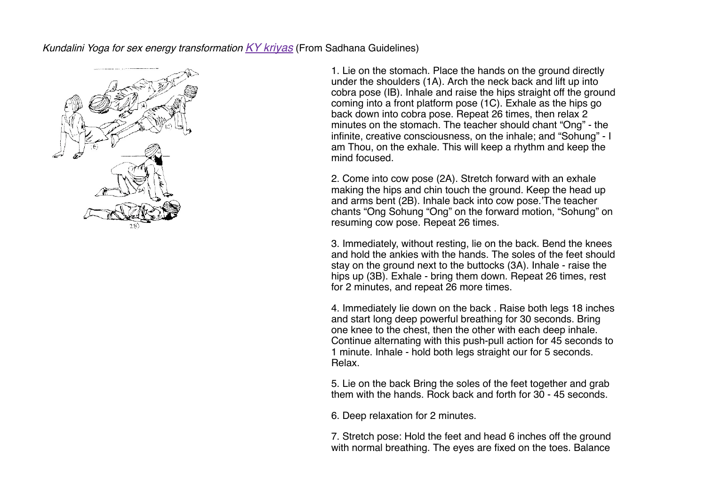Kundalini Yoga for sex energy transformation KY kriyas (From Sadhana Guidelines)



1. Lie on the stomach. Place the hands on the ground directly under the shoulders (1A). Arch the neck back and lift up into cobra pose (IB). Inhale and raise the hips straight off the ground coming into a front platform pose (1C). Exhale as the hips go back down into cobra pose. Repeat 26 times, then relax 2 minutes on the stomach. The teacher should chant "Ong" - the infinite, creative consciousness, on the inhale; and "Sohung" - I am Thou, on the exhale. This will keep a rhythm and keep the mind focused.

2. Come into cow pose (2A). Stretch forward with an exhale making the hips and chin touch the ground. Keep the head up and arms bent (2B). Inhale back into cow pose.'The teacher chants "Ong Sohung "Ong" on the forward motion, "Sohung" on resuming cow pose. Repeat 26 times.

3. Immediately, without resting, lie on the back. Bend the knees and hold the ankies with the hands. The soles of the feet should stay on the ground next to the buttocks (3A). Inhale - raise the hips up (3B). Exhale - bring them down. Repeat 26 times, rest for 2 minutes, and repeat 26 more times.

4. Immediately lie down on the back . Raise both legs 18 inches and start long deep powerful breathing for 30 seconds. Bring one knee to the chest, then the other with each deep inhale. Continue alternating with this push-pull action for 45 seconds to 1 minute. Inhale - hold both legs straight our for 5 seconds. Relax.

5. Lie on the back Bring the soles of the feet together and grab them with the hands. Rock back and forth for 30 - 45 seconds.

6. Deep relaxation for 2 minutes.

7. Stretch pose: Hold the feet and head 6 inches off the ground with normal breathing. The eyes are fixed on the toes. Balance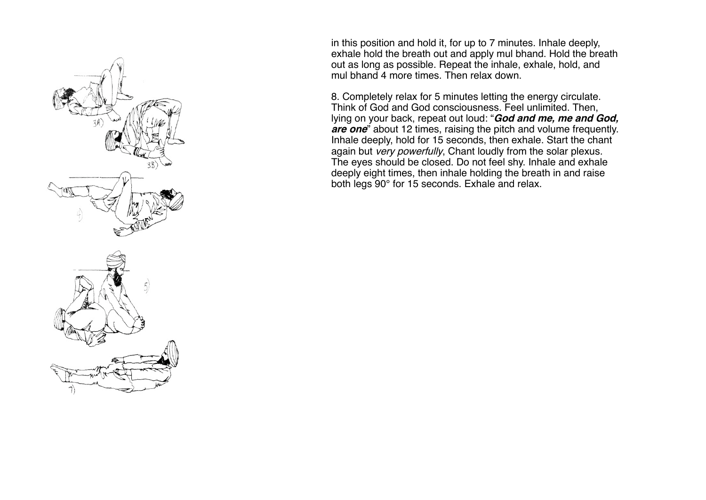

in this position and hold it, for up to 7 minutes. Inhale deeply, exhale hold the breath out and apply mul bhand. Hold the breath out as long as possible. Repeat the inhale, exhale, hold, and mul bhand 4 more times. Then relax down.

8. Completely relax for 5 minutes letting the energy circulate. Think of God and God consciousness. Feel unlimited. Then, lying on your back, repeat out loud: "**God and me, me and God, are one**" about 12 times, raising the pitch and volume frequently. Inhale deeply, hold for 15 seconds, then exhale. Start the chant again but very powerfully, Chant loudly from the solar plexus. The eyes should be closed. Do not feel shy. Inhale and exhale deeply eight times, then inhale holding the breath in and raise both legs 90° for 15 seconds. Exhale and relax.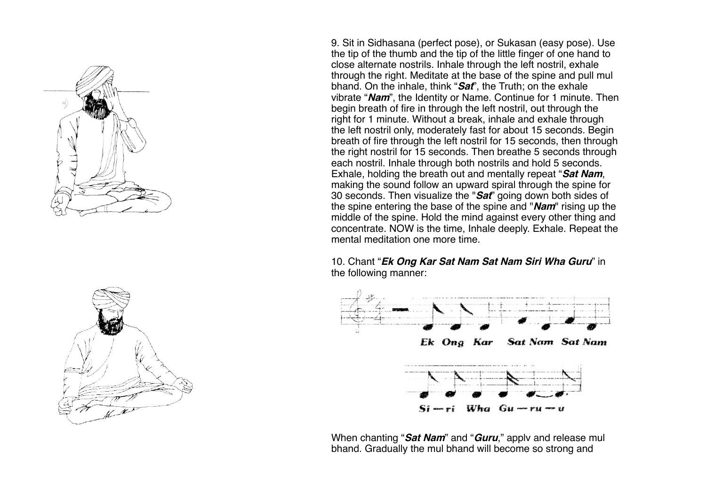



9. Sit in Sidhasana (perfect pose), or Sukasan (easy pose). Use the tip of the thumb and the tip of the little finger of one hand to close alternate nostrils. Inhale through the left nostril, exhale through the right. Meditate at the base of the spine and pull mul bhand. On the inhale, think "**Sat**", the Truth; on the exhale vibrate "**Nam**", the Identity or Name. Continue for 1 minute. Then begin breath of fire in through the left nostril, out through the right for 1 minute. Without a break, inhale and exhale through the left nostril only, moderately fast for about 15 seconds. Begin breath of fire through the left nostril for 15 seconds, then through the right nostril for 15 seconds. Then breathe 5 seconds through each nostril. Inhale through both nostrils and hold 5 seconds. Exhale, holding the breath out and mentally repeat "**Sat Nam**, making the sound follow an upward spiral through the spine for 30 seconds. Then visualize the "**Sat**" going down both sides of the spine entering the base of the spine and "**Nam**" rising up the middle of the spine. Hold the mind against every other thing and concentrate. NOW is the time, Inhale deeply. Exhale. Repeat the mental meditation one more time.

## 10. Chant "**Ek Ong Kar Sat Nam Sat Nam Siri Wha Guru**" in the following manner:



When chanting "**Sat Nam**" and "**Guru**," applv and release mul bhand. Gradually the mul bhand will become so strong and